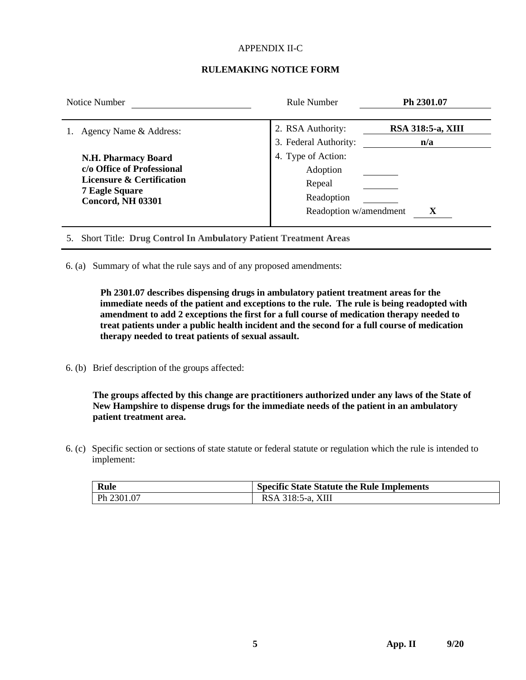#### APPENDIX II-C

#### **RULEMAKING NOTICE FORM**

| Notice Number                                                                                                                                         | <b>Rule Number</b>                                                               | Ph 2301.07                      |  |  |
|-------------------------------------------------------------------------------------------------------------------------------------------------------|----------------------------------------------------------------------------------|---------------------------------|--|--|
| Agency Name & Address:                                                                                                                                | 2. RSA Authority:<br>3. Federal Authority:                                       | <b>RSA 318:5-a, XIII</b><br>n/a |  |  |
| <b>N.H. Pharmacy Board</b><br>c/o Office of Professional<br><b>Licensure &amp; Certification</b><br><b>7 Eagle Square</b><br><b>Concord, NH 03301</b> | 4. Type of Action:<br>Adoption<br>Repeal<br>Readoption<br>Readoption w/amendment | X                               |  |  |

5. Short Title: **Drug Control In Ambulatory Patient Treatment Areas**

6. (a) Summary of what the rule says and of any proposed amendments:

**Ph 2301.07 describes dispensing drugs in ambulatory patient treatment areas for the immediate needs of the patient and exceptions to the rule. The rule is being readopted with amendment to add 2 exceptions the first for a full course of medication therapy needed to treat patients under a public health incident and the second for a full course of medication therapy needed to treat patients of sexual assault.**

6. (b) Brief description of the groups affected:

**The groups affected by this change are practitioners authorized under any laws of the State of New Hampshire to dispense drugs for the immediate needs of the patient in an ambulatory patient treatment area.**

6. (c) Specific section or sections of state statute or federal statute or regulation which the rule is intended to implement:

| Rule       | <b>Specific State Statute the Rule Implements</b> |
|------------|---------------------------------------------------|
| Ph 2301.07 | RSA 318:5-a, XIII                                 |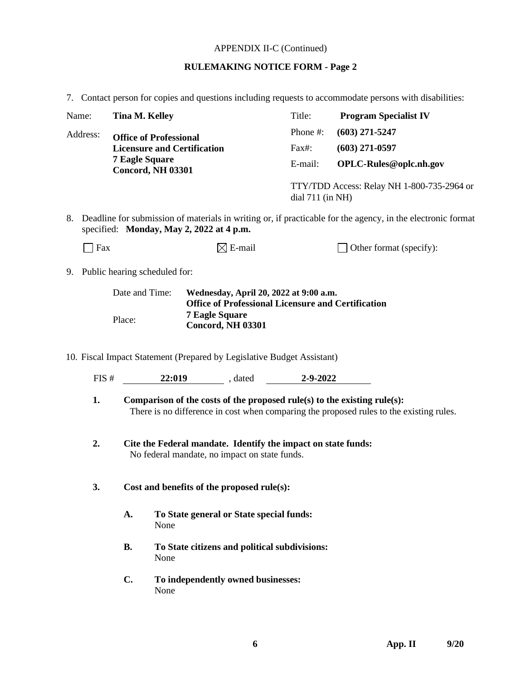# APPENDIX II-C (Continued)

# **RULEMAKING NOTICE FORM - Page 2**

|  |  |  |  | 7. Contact person for copies and questions including requests to accommodate persons with disabilities: |  |
|--|--|--|--|---------------------------------------------------------------------------------------------------------|--|
|  |  |  |  |                                                                                                         |  |
|  |  |  |  |                                                                                                         |  |

|                                                                                                                                                            | Contact person for copies and questions metaling requests to accommodate persons with disabilities. |                                                                                                                                                                     |      |                                    |                                                                        |                                                                |                        |  |
|------------------------------------------------------------------------------------------------------------------------------------------------------------|-----------------------------------------------------------------------------------------------------|---------------------------------------------------------------------------------------------------------------------------------------------------------------------|------|------------------------------------|------------------------------------------------------------------------|----------------------------------------------------------------|------------------------|--|
| Name:<br><b>Tina M. Kelley</b>                                                                                                                             |                                                                                                     |                                                                                                                                                                     |      | Title:                             | <b>Program Specialist IV</b>                                           |                                                                |                        |  |
| Address:<br><b>Office of Professional</b>                                                                                                                  |                                                                                                     |                                                                                                                                                                     |      |                                    | Phone #:                                                               | $(603)$ 271-5247                                               |                        |  |
|                                                                                                                                                            |                                                                                                     |                                                                                                                                                                     |      | <b>Licensure and Certification</b> |                                                                        | Fax#:                                                          | $(603)$ 271-0597       |  |
|                                                                                                                                                            |                                                                                                     | <b>7 Eagle Square</b><br><b>Concord, NH 03301</b>                                                                                                                   |      |                                    |                                                                        | E-mail:                                                        | OPLC-Rules@oplc.nh.gov |  |
|                                                                                                                                                            |                                                                                                     |                                                                                                                                                                     |      |                                    |                                                                        | TTY/TDD Access: Relay NH 1-800-735-2964 or<br>dial 711 (in NH) |                        |  |
| 8. Deadline for submission of materials in writing or, if practicable for the agency, in the electronic format<br>specified: Monday, May 2, 2022 at 4 p.m. |                                                                                                     |                                                                                                                                                                     |      |                                    |                                                                        |                                                                |                        |  |
| Fax                                                                                                                                                        |                                                                                                     |                                                                                                                                                                     |      |                                    | $\boxtimes$ E-mail                                                     | Other format (specify):                                        |                        |  |
| 9. Public hearing scheduled for:                                                                                                                           |                                                                                                     |                                                                                                                                                                     |      |                                    |                                                                        |                                                                |                        |  |
|                                                                                                                                                            |                                                                                                     | Date and Time:                                                                                                                                                      |      |                                    | Wednesday, April 20, 2022 at 9:00 a.m.                                 |                                                                |                        |  |
|                                                                                                                                                            | Place:                                                                                              |                                                                                                                                                                     |      | <b>7 Eagle Square</b>              | <b>Office of Professional Licensure and Certification</b>              |                                                                |                        |  |
|                                                                                                                                                            |                                                                                                     |                                                                                                                                                                     |      |                                    | <b>Concord, NH 03301</b>                                               |                                                                |                        |  |
|                                                                                                                                                            |                                                                                                     |                                                                                                                                                                     |      |                                    |                                                                        |                                                                |                        |  |
|                                                                                                                                                            |                                                                                                     |                                                                                                                                                                     |      |                                    | 10. Fiscal Impact Statement (Prepared by Legislative Budget Assistant) |                                                                |                        |  |
| FIS#                                                                                                                                                       |                                                                                                     |                                                                                                                                                                     |      |                                    | 22:019 , dated 2-9-2022                                                |                                                                |                        |  |
| 1.                                                                                                                                                         |                                                                                                     | Comparison of the costs of the proposed rule(s) to the existing rule(s):<br>There is no difference in cost when comparing the proposed rules to the existing rules. |      |                                    |                                                                        |                                                                |                        |  |
| 2.                                                                                                                                                         |                                                                                                     | Cite the Federal mandate. Identify the impact on state funds:<br>No federal mandate, no impact on state funds.                                                      |      |                                    |                                                                        |                                                                |                        |  |
| 3.                                                                                                                                                         |                                                                                                     | Cost and benefits of the proposed rule(s):                                                                                                                          |      |                                    |                                                                        |                                                                |                        |  |
|                                                                                                                                                            |                                                                                                     | To State general or State special funds:<br>A.<br>None                                                                                                              |      |                                    |                                                                        |                                                                |                        |  |
|                                                                                                                                                            |                                                                                                     | <b>B.</b><br>To State citizens and political subdivisions:<br>None                                                                                                  |      |                                    |                                                                        |                                                                |                        |  |
|                                                                                                                                                            |                                                                                                     | C.                                                                                                                                                                  | None |                                    | To independently owned businesses:                                     |                                                                |                        |  |